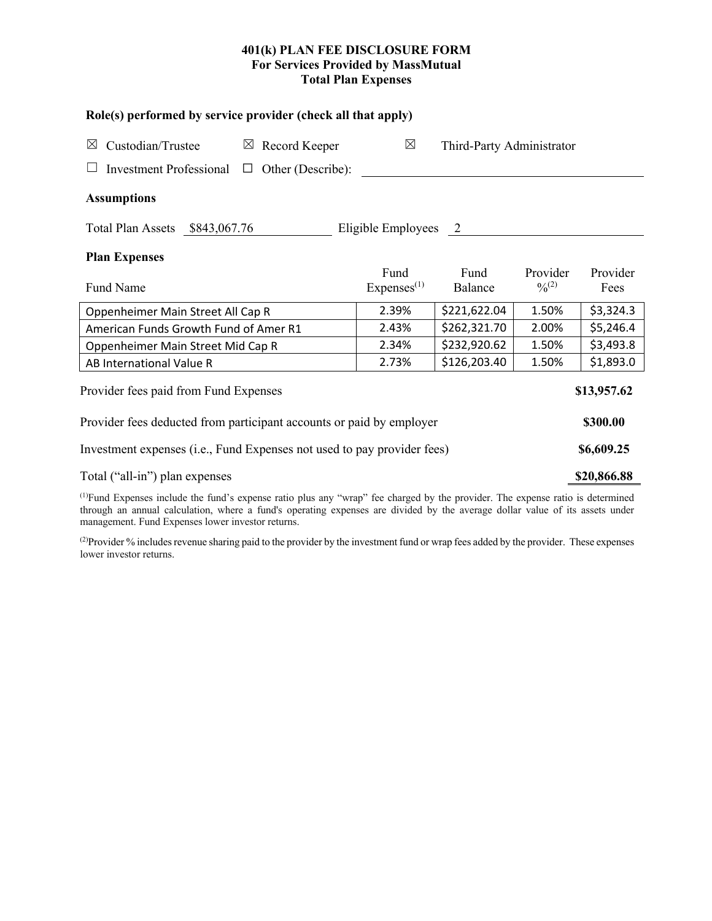# **401(k) PLAN FEE DISCLOSURE FORM For Services Provided by MassMutual Total Plan Expenses**

| Role(s) performed by service provider (check all that apply)                                                                         |                                |                           |                         |                  |  |  |  |
|--------------------------------------------------------------------------------------------------------------------------------------|--------------------------------|---------------------------|-------------------------|------------------|--|--|--|
| Custodian/Trustee<br>$\boxtimes$ Record Keeper<br>$\boxtimes$                                                                        | $\boxtimes$                    | Third-Party Administrator |                         |                  |  |  |  |
| Investment Professional $\Box$ Other (Describe):                                                                                     |                                |                           |                         |                  |  |  |  |
| <b>Assumptions</b>                                                                                                                   |                                |                           |                         |                  |  |  |  |
| Total Plan Assets \$843,067.76                                                                                                       | Eligible Employees 2           |                           |                         |                  |  |  |  |
| <b>Plan Expenses</b>                                                                                                                 |                                |                           |                         |                  |  |  |  |
| Fund Name                                                                                                                            | Fund<br>Express <sup>(1)</sup> | Fund<br>Balance           | Provider<br>$0/0^{(2)}$ | Provider<br>Fees |  |  |  |
| Oppenheimer Main Street All Cap R                                                                                                    | 2.39%                          | \$221,622.04              | 1.50%                   | \$3,324.3        |  |  |  |
| American Funds Growth Fund of Amer R1                                                                                                | 2.43%                          | \$262,321.70              | 2.00%                   | \$5,246.4        |  |  |  |
| Oppenheimer Main Street Mid Cap R                                                                                                    | 2.34%                          | \$232,920.62              | 1.50%                   | \$3,493.8        |  |  |  |
| AB International Value R                                                                                                             | 2.73%                          | \$126,203.40              | 1.50%                   | \$1,893.0        |  |  |  |
| Provider fees paid from Fund Expenses                                                                                                |                                |                           |                         |                  |  |  |  |
| Provider fees deducted from participant accounts or paid by employer                                                                 |                                |                           |                         |                  |  |  |  |
| Investment expenses (i.e., Fund Expenses not used to pay provider fees)                                                              |                                |                           |                         |                  |  |  |  |
| Total ("all-in") plan expenses                                                                                                       |                                |                           |                         |                  |  |  |  |
| $^{(1)}$ Fund Expenses include the fund's expense ratio plus any "wrap" fee charged by the provider. The expense ratio is determined |                                |                           |                         |                  |  |  |  |

(1) Fund Expenses include the fund's expense ratio plus any "wrap" fee charged by the provider. The expense ratio is determined through an annual calculation, where a fund's operating expenses are divided by the average dollar value of its assets under management. Fund Expenses lower investor returns.

(2) Provider % includes revenue sharing paid to the provider by the investment fund or wrap fees added by the provider. These expenses lower investor returns.